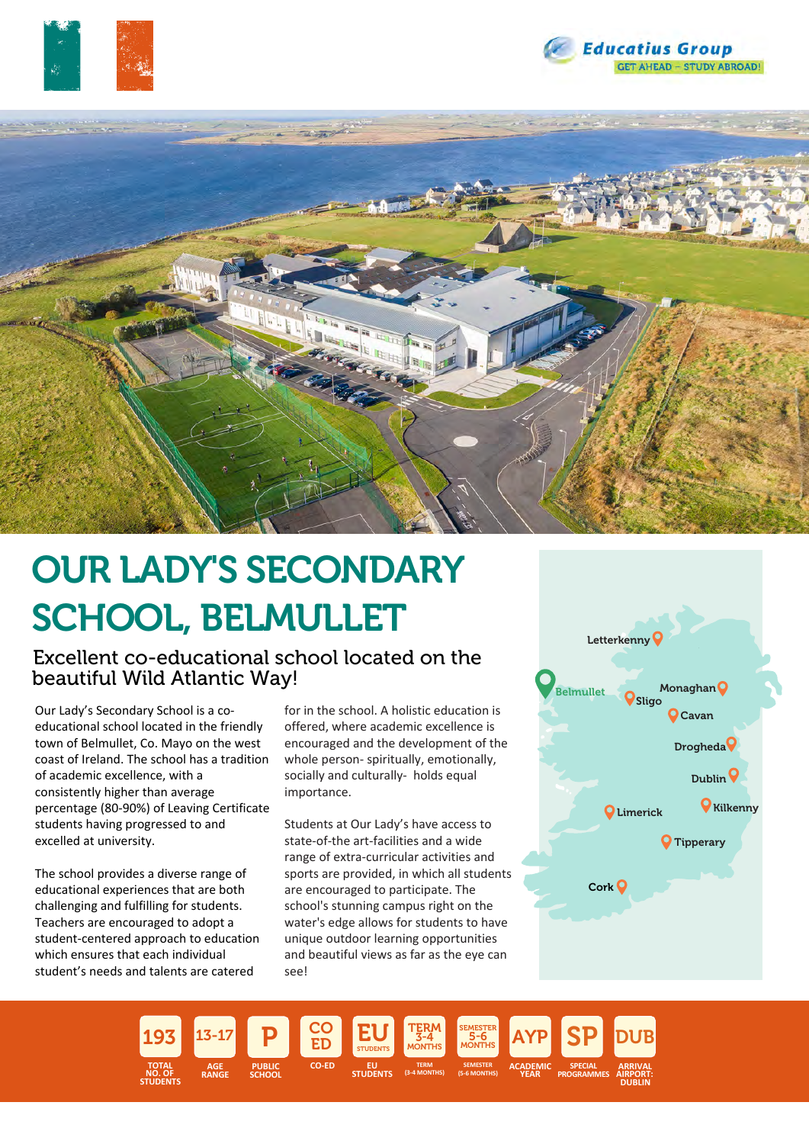





# OUR LADY'S SECONDARY SCHOOL, BELMULLET

Excellent co-educational school located on the beautiful Wild Atlantic Way!

Our Lady's Secondary School is a coeducational school located in the friendly town of Belmullet, Co. Mayo on the west coast of Ireland. The school has a tradition of academic excellence, with a consistently higher than average percentage (80-90%) of Leaving Certificate students having progressed to and excelled at university.

The school provides a diverse range of educational experiences that are both challenging and fulfilling for students. Teachers are encouraged to adopt a student-centered approach to education which ensures that each individual student's needs and talents are catered

for in the school. A holistic education is offered, where academic excellence is encouraged and the development of the whole person- spiritually, emotionally, socially and culturally- holds equal importance.

Students at Our Lady's have access to state-of-the art-facilities and a wide range of extra-curricular activities and sports are provided, in which all students are encouraged to participate. The school's stunning campus right on the water's edge allows for students to have unique outdoor learning opportunities and beautiful views as far as the eye can see!



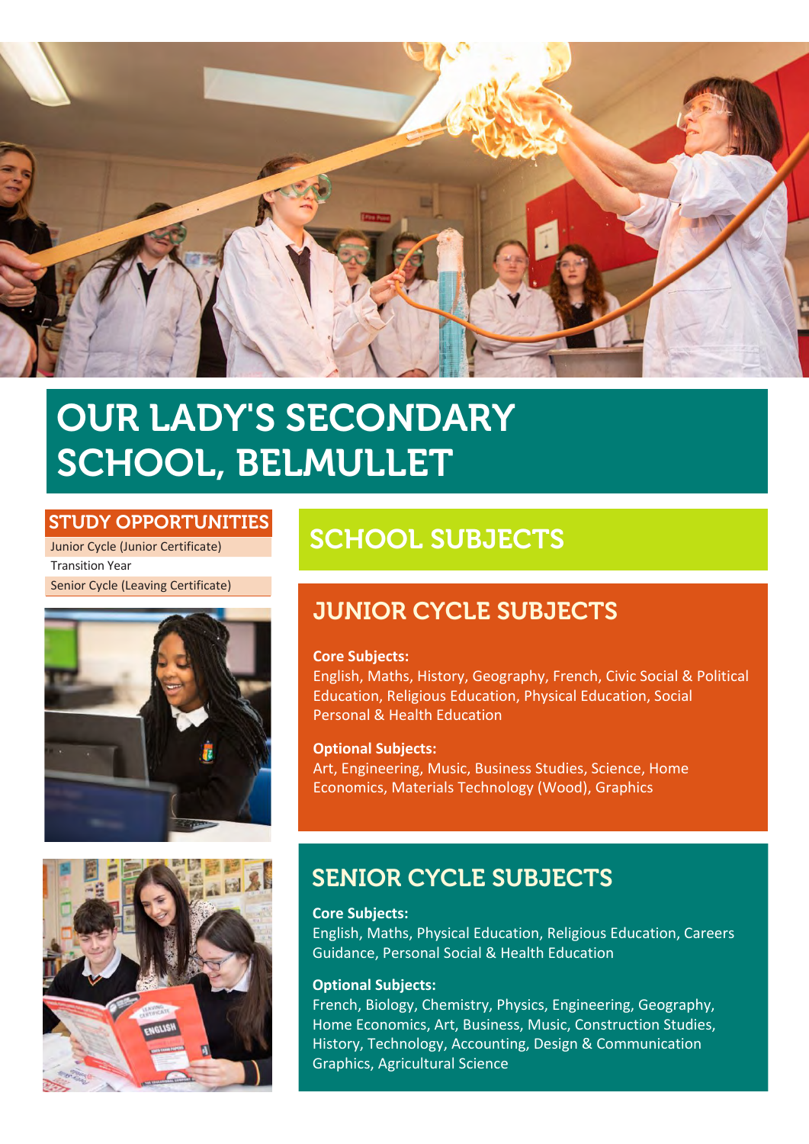

# OUR LADY'S SECONDARY SCHOOL, BELMULLET

### STUDY OPPORTUNITIES

Junior Cycle (Junior Certificate) Transition Year Senior Cycle (Leaving Certificate)





# SCHOOL SUBJECTS

# JUNIOR CYCLE SUBJECTS

#### **Core Subjects:**

English, Maths, History, Geography, French, Civic Social & Political Education, Religious Education, Physical Education, Social Personal & Health Education

## **Optional Subjects:**

Art, Engineering, Music, Business Studies, Science, Home Economics, Materials Technology (Wood), Graphics

# SENIOR CYCLE SUBJECTS

**Core Subjects:**

English, Maths, Physical Education, Religious Education, Careers Guidance, Personal Social & Health Education

#### **Optional Subjects:**

French, Biology, Chemistry, Physics, Engineering, Geography, Home Economics, Art, Business, Music, Construction Studies, History, Technology, Accounting, Design & Communication Graphics, Agricultural Science